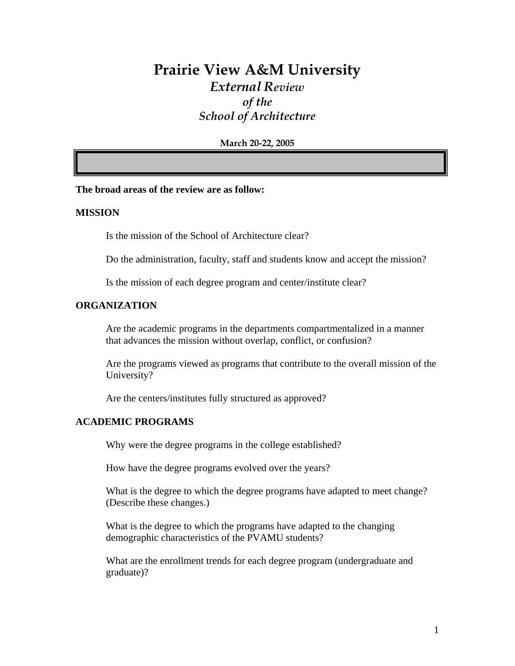# **Prairie View A&M University**  *External Review of the School of Architecture*

**March 20-22, 2005** 

#### **The broad areas of the review are as follow:**

#### **MISSION**

Is the mission of the School of Architecture clear?

Do the administration, faculty, staff and students know and accept the mission?

Is the mission of each degree program and center/institute clear?

#### **ORGANIZATION**

Are the academic programs in the departments compartmentalized in a manner that advances the mission without overlap, conflict, or confusion?

Are the programs viewed as programs that contribute to the overall mission of the University?

Are the centers/institutes fully structured as approved?

#### **ACADEMIC PROGRAMS**

Why were the degree programs in the college established?

How have the degree programs evolved over the years?

What is the degree to which the degree programs have adapted to meet change? (Describe these changes.)

What is the degree to which the programs have adapted to the changing demographic characteristics of the PVAMU students?

What are the enrollment trends for each degree program (undergraduate and graduate)?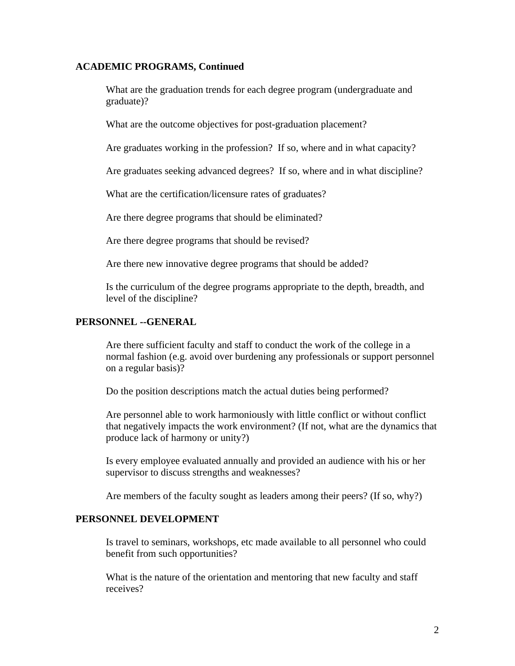#### **ACADEMIC PROGRAMS, Continued**

What are the graduation trends for each degree program (undergraduate and graduate)?

What are the outcome objectives for post-graduation placement?

Are graduates working in the profession? If so, where and in what capacity?

Are graduates seeking advanced degrees? If so, where and in what discipline?

What are the certification/licensure rates of graduates?

Are there degree programs that should be eliminated?

Are there degree programs that should be revised?

Are there new innovative degree programs that should be added?

Is the curriculum of the degree programs appropriate to the depth, breadth, and level of the discipline?

#### **PERSONNEL --GENERAL**

Are there sufficient faculty and staff to conduct the work of the college in a normal fashion (e.g. avoid over burdening any professionals or support personnel on a regular basis)?

Do the position descriptions match the actual duties being performed?

Are personnel able to work harmoniously with little conflict or without conflict that negatively impacts the work environment? (If not, what are the dynamics that produce lack of harmony or unity?)

Is every employee evaluated annually and provided an audience with his or her supervisor to discuss strengths and weaknesses?

Are members of the faculty sought as leaders among their peers? (If so, why?)

#### **PERSONNEL DEVELOPMENT**

Is travel to seminars, workshops, etc made available to all personnel who could benefit from such opportunities?

What is the nature of the orientation and mentoring that new faculty and staff receives?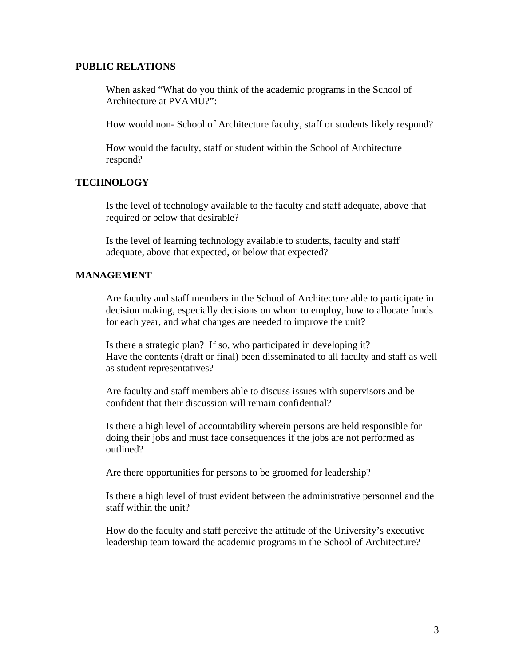#### **PUBLIC RELATIONS**

When asked "What do you think of the academic programs in the School of Architecture at PVAMU?":

How would non- School of Architecture faculty, staff or students likely respond?

How would the faculty, staff or student within the School of Architecture respond?

#### **TECHNOLOGY**

Is the level of technology available to the faculty and staff adequate, above that required or below that desirable?

Is the level of learning technology available to students, faculty and staff adequate, above that expected, or below that expected?

#### **MANAGEMENT**

Are faculty and staff members in the School of Architecture able to participate in decision making, especially decisions on whom to employ, how to allocate funds for each year, and what changes are needed to improve the unit?

Is there a strategic plan? If so, who participated in developing it? Have the contents (draft or final) been disseminated to all faculty and staff as well as student representatives?

Are faculty and staff members able to discuss issues with supervisors and be confident that their discussion will remain confidential?

Is there a high level of accountability wherein persons are held responsible for doing their jobs and must face consequences if the jobs are not performed as outlined?

Are there opportunities for persons to be groomed for leadership?

Is there a high level of trust evident between the administrative personnel and the staff within the unit?

How do the faculty and staff perceive the attitude of the University's executive leadership team toward the academic programs in the School of Architecture?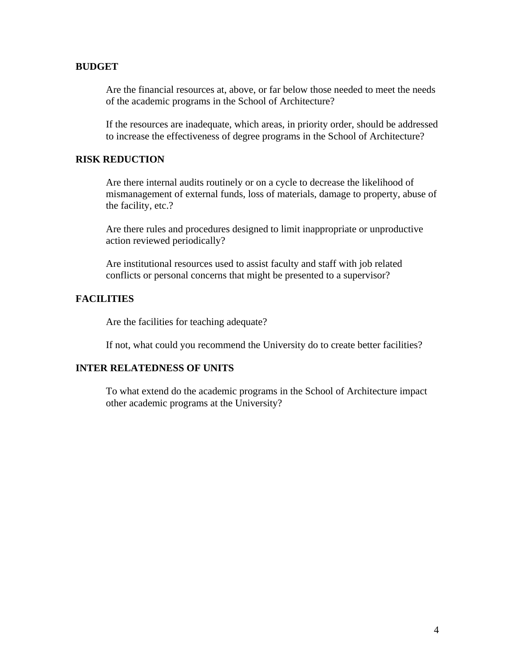#### **BUDGET**

Are the financial resources at, above, or far below those needed to meet the needs of the academic programs in the School of Architecture?

If the resources are inadequate, which areas, in priority order, should be addressed to increase the effectiveness of degree programs in the School of Architecture?

#### **RISK REDUCTION**

Are there internal audits routinely or on a cycle to decrease the likelihood of mismanagement of external funds, loss of materials, damage to property, abuse of the facility, etc.?

Are there rules and procedures designed to limit inappropriate or unproductive action reviewed periodically?

Are institutional resources used to assist faculty and staff with job related conflicts or personal concerns that might be presented to a supervisor?

#### **FACILITIES**

Are the facilities for teaching adequate?

If not, what could you recommend the University do to create better facilities?

#### **INTER RELATEDNESS OF UNITS**

To what extend do the academic programs in the School of Architecture impact other academic programs at the University?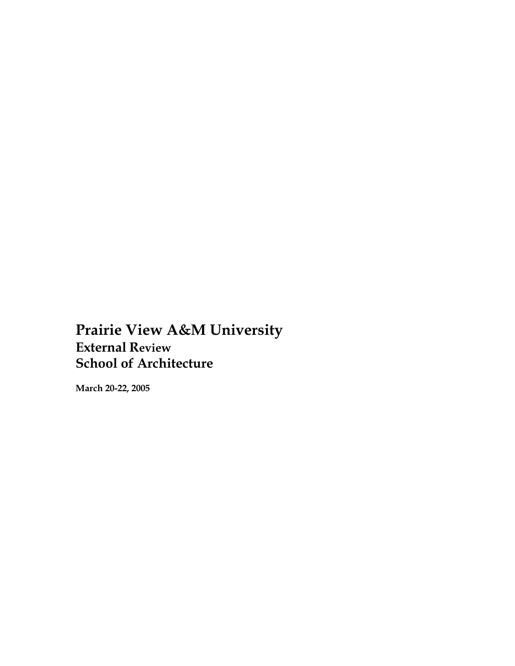**Prairie View A&M University External Review School of Architecture** 

**March 20-22, 2005**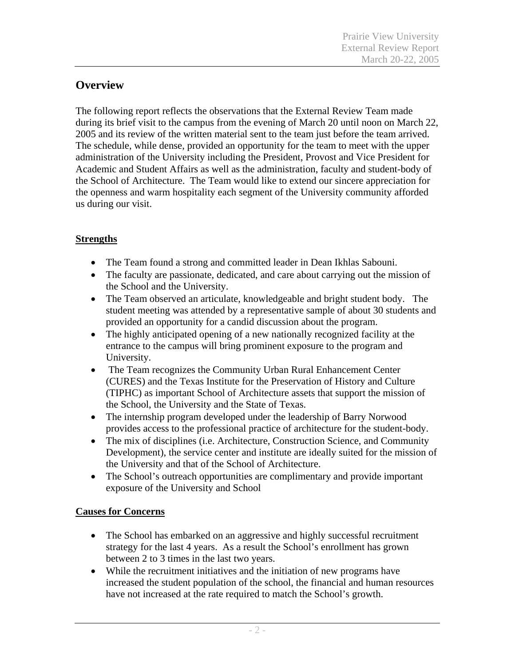# **Overview**

The following report reflects the observations that the External Review Team made during its brief visit to the campus from the evening of March 20 until noon on March 22, 2005 and its review of the written material sent to the team just before the team arrived. The schedule, while dense, provided an opportunity for the team to meet with the upper administration of the University including the President, Provost and Vice President for Academic and Student Affairs as well as the administration, faculty and student-body of the School of Architecture. The Team would like to extend our sincere appreciation for the openness and warm hospitality each segment of the University community afforded us during our visit.

# **Strengths**

- The Team found a strong and committed leader in Dean Ikhlas Sabouni.
- The faculty are passionate, dedicated, and care about carrying out the mission of the School and the University.
- The Team observed an articulate, knowledgeable and bright student body. The student meeting was attended by a representative sample of about 30 students and provided an opportunity for a candid discussion about the program.
- The highly anticipated opening of a new nationally recognized facility at the entrance to the campus will bring prominent exposure to the program and University.
- The Team recognizes the Community Urban Rural Enhancement Center (CURES) and the Texas Institute for the Preservation of History and Culture (TIPHC) as important School of Architecture assets that support the mission of the School, the University and the State of Texas.
- The internship program developed under the leadership of Barry Norwood provides access to the professional practice of architecture for the student-body.
- The mix of disciplines (i.e. Architecture, Construction Science, and Community Development), the service center and institute are ideally suited for the mission of the University and that of the School of Architecture.
- The School's outreach opportunities are complimentary and provide important exposure of the University and School

## **Causes for Concerns**

- The School has embarked on an aggressive and highly successful recruitment strategy for the last 4 years. As a result the School's enrollment has grown between 2 to 3 times in the last two years.
- While the recruitment initiatives and the initiation of new programs have increased the student population of the school, the financial and human resources have not increased at the rate required to match the School's growth.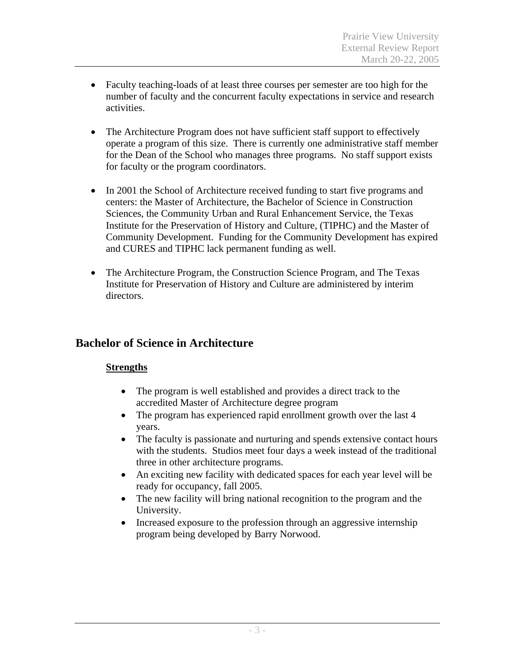- Faculty teaching-loads of at least three courses per semester are too high for the number of faculty and the concurrent faculty expectations in service and research activities.
- The Architecture Program does not have sufficient staff support to effectively operate a program of this size. There is currently one administrative staff member for the Dean of the School who manages three programs. No staff support exists for faculty or the program coordinators.
- In 2001 the School of Architecture received funding to start five programs and centers: the Master of Architecture, the Bachelor of Science in Construction Sciences, the Community Urban and Rural Enhancement Service, the Texas Institute for the Preservation of History and Culture, (TIPHC) and the Master of Community Development. Funding for the Community Development has expired and CURES and TIPHC lack permanent funding as well.
- The Architecture Program, the Construction Science Program, and The Texas Institute for Preservation of History and Culture are administered by interim directors.

## **Bachelor of Science in Architecture**

### **Strengths**

- The program is well established and provides a direct track to the accredited Master of Architecture degree program
- The program has experienced rapid enrollment growth over the last 4 years.
- The faculty is passionate and nurturing and spends extensive contact hours with the students. Studios meet four days a week instead of the traditional three in other architecture programs.
- An exciting new facility with dedicated spaces for each year level will be ready for occupancy, fall 2005.
- The new facility will bring national recognition to the program and the University.
- Increased exposure to the profession through an aggressive internship program being developed by Barry Norwood.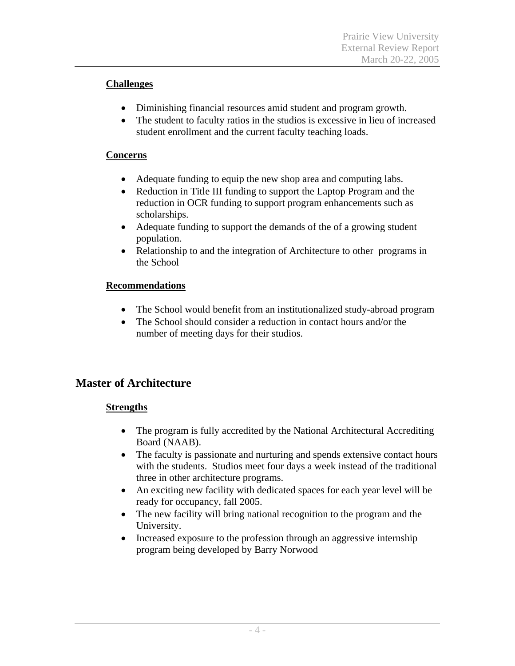### **Challenges**

- Diminishing financial resources amid student and program growth.
- The student to faculty ratios in the studios is excessive in lieu of increased student enrollment and the current faculty teaching loads.

### **Concerns**

- Adequate funding to equip the new shop area and computing labs.
- Reduction in Title III funding to support the Laptop Program and the reduction in OCR funding to support program enhancements such as scholarships.
- Adequate funding to support the demands of the of a growing student population.
- Relationship to and the integration of Architecture to other programs in the School

### **Recommendations**

- The School would benefit from an institutionalized study-abroad program
- The School should consider a reduction in contact hours and/or the number of meeting days for their studios.

# **Master of Architecture**

### **Strengths**

- The program is fully accredited by the National Architectural Accrediting Board (NAAB).
- The faculty is passionate and nurturing and spends extensive contact hours with the students. Studios meet four days a week instead of the traditional three in other architecture programs.
- An exciting new facility with dedicated spaces for each year level will be ready for occupancy, fall 2005.
- The new facility will bring national recognition to the program and the University.
- Increased exposure to the profession through an aggressive internship program being developed by Barry Norwood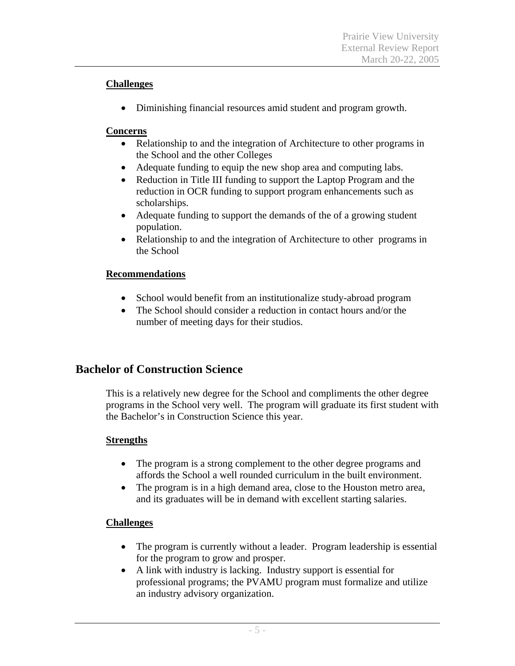### **Challenges**

• Diminishing financial resources amid student and program growth.

### **Concerns**

- Relationship to and the integration of Architecture to other programs in the School and the other Colleges
- Adequate funding to equip the new shop area and computing labs.
- Reduction in Title III funding to support the Laptop Program and the reduction in OCR funding to support program enhancements such as scholarships.
- Adequate funding to support the demands of the of a growing student population.
- Relationship to and the integration of Architecture to other programs in the School

### **Recommendations**

- School would benefit from an institutionalize study-abroad program
- The School should consider a reduction in contact hours and/or the number of meeting days for their studios.

# **Bachelor of Construction Science**

 This is a relatively new degree for the School and compliments the other degree programs in the School very well. The program will graduate its first student with the Bachelor's in Construction Science this year.

### **Strengths**

- The program is a strong complement to the other degree programs and affords the School a well rounded curriculum in the built environment.
- The program is in a high demand area, close to the Houston metro area, and its graduates will be in demand with excellent starting salaries.

### **Challenges**

- The program is currently without a leader. Program leadership is essential for the program to grow and prosper.
- A link with industry is lacking. Industry support is essential for professional programs; the PVAMU program must formalize and utilize an industry advisory organization.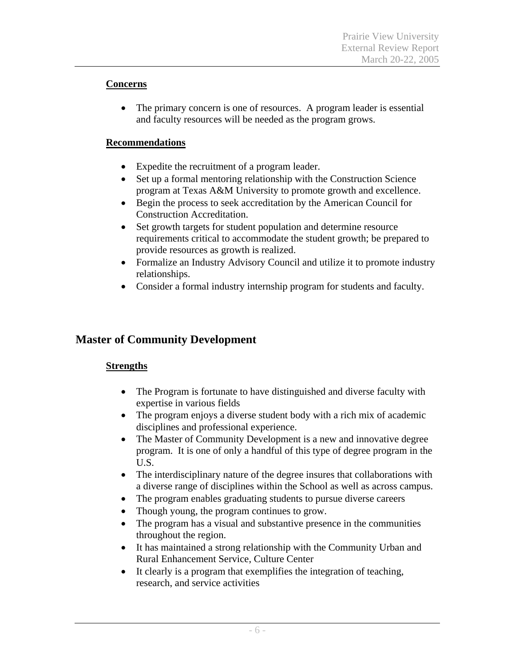### **Concerns**

• The primary concern is one of resources. A program leader is essential and faculty resources will be needed as the program grows.

### **Recommendations**

- Expedite the recruitment of a program leader.
- Set up a formal mentoring relationship with the Construction Science program at Texas A&M University to promote growth and excellence.
- Begin the process to seek accreditation by the American Council for Construction Accreditation.
- Set growth targets for student population and determine resource requirements critical to accommodate the student growth; be prepared to provide resources as growth is realized.
- Formalize an Industry Advisory Council and utilize it to promote industry relationships.
- Consider a formal industry internship program for students and faculty.

# **Master of Community Development**

### **Strengths**

- The Program is fortunate to have distinguished and diverse faculty with expertise in various fields
- The program enjoys a diverse student body with a rich mix of academic disciplines and professional experience.
- The Master of Community Development is a new and innovative degree program. It is one of only a handful of this type of degree program in the U.S.
- The interdisciplinary nature of the degree insures that collaborations with a diverse range of disciplines within the School as well as across campus.
- The program enables graduating students to pursue diverse careers
- Though young, the program continues to grow.
- The program has a visual and substantive presence in the communities throughout the region.
- It has maintained a strong relationship with the Community Urban and Rural Enhancement Service, Culture Center
- It clearly is a program that exemplifies the integration of teaching, research, and service activities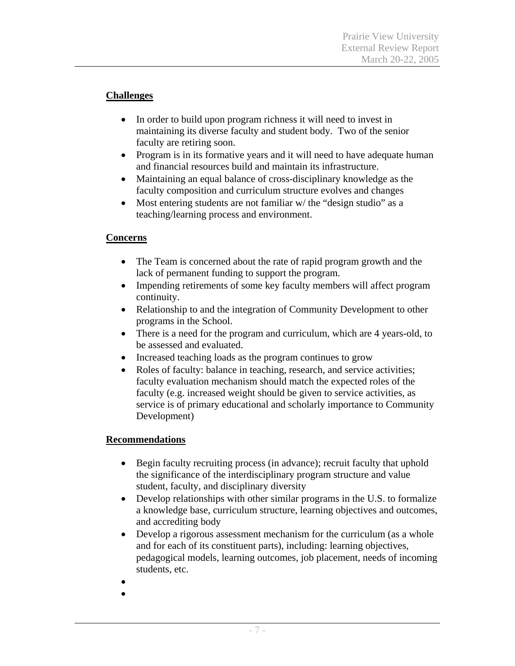### **Challenges**

- In order to build upon program richness it will need to invest in maintaining its diverse faculty and student body. Two of the senior faculty are retiring soon.
- Program is in its formative years and it will need to have adequate human and financial resources build and maintain its infrastructure.
- Maintaining an equal balance of cross-disciplinary knowledge as the faculty composition and curriculum structure evolves and changes
- Most entering students are not familiar w/ the "design studio" as a teaching/learning process and environment.

### **Concerns**

- The Team is concerned about the rate of rapid program growth and the lack of permanent funding to support the program.
- Impending retirements of some key faculty members will affect program continuity.
- Relationship to and the integration of Community Development to other programs in the School.
- There is a need for the program and curriculum, which are 4 years-old, to be assessed and evaluated.
- Increased teaching loads as the program continues to grow
- Roles of faculty: balance in teaching, research, and service activities; faculty evaluation mechanism should match the expected roles of the faculty (e.g. increased weight should be given to service activities, as service is of primary educational and scholarly importance to Community Development)

### **Recommendations**

- Begin faculty recruiting process (in advance); recruit faculty that uphold the significance of the interdisciplinary program structure and value student, faculty, and disciplinary diversity
- Develop relationships with other similar programs in the U.S. to formalize a knowledge base, curriculum structure, learning objectives and outcomes, and accrediting body
- Develop a rigorous assessment mechanism for the curriculum (as a whole and for each of its constituent parts), including: learning objectives, pedagogical models, learning outcomes, job placement, needs of incoming students, etc.
- •
- •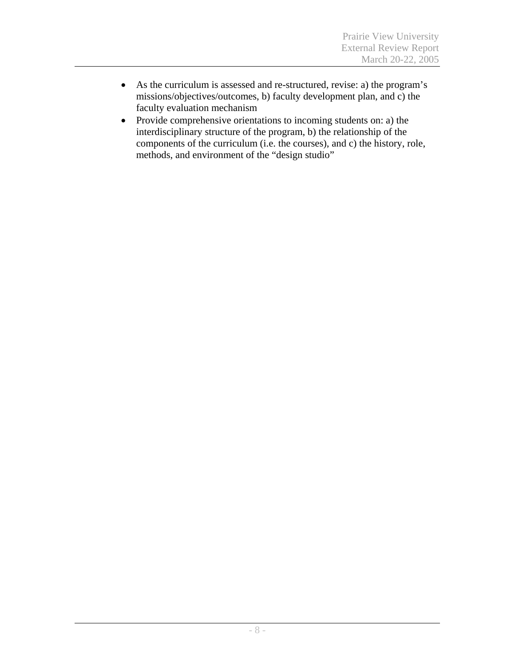- As the curriculum is assessed and re-structured, revise: a) the program's missions/objectives/outcomes, b) faculty development plan, and c) the faculty evaluation mechanism
- Provide comprehensive orientations to incoming students on: a) the interdisciplinary structure of the program, b) the relationship of the components of the curriculum (i.e. the courses), and c) the history, role, methods, and environment of the "design studio"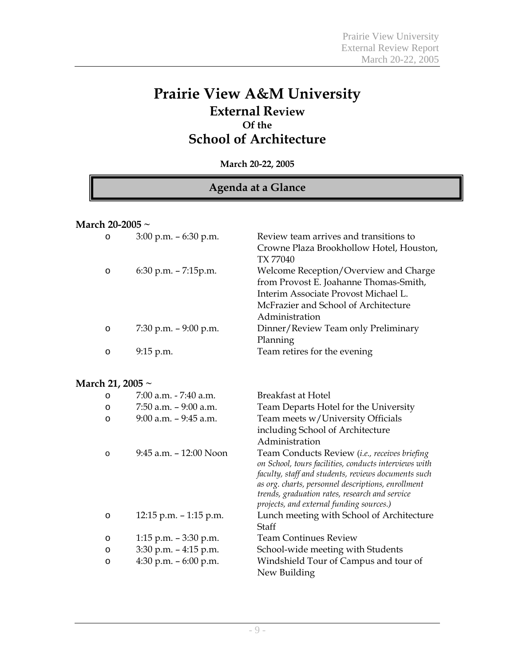# **Prairie View A&M University External Review Of the School of Architecture**

**March 20-22, 2005** 

## **Agenda at a Glance**

#### **March 20-2005 ~**

| $\circ$               | $3:00$ p.m. $-6:30$ p.m.  | Review team arrives and transitions to<br>Crowne Plaza Brookhollow Hotel, Houston,<br>TX 77040                                                                                                                                                                                                                    |
|-----------------------|---------------------------|-------------------------------------------------------------------------------------------------------------------------------------------------------------------------------------------------------------------------------------------------------------------------------------------------------------------|
| $\circ$               | $6:30$ p.m. $- 7:15$ p.m. | Welcome Reception/Overview and Charge<br>from Provost E. Joahanne Thomas-Smith,<br>Interim Associate Provost Michael L.<br>McFrazier and School of Architecture<br>Administration                                                                                                                                 |
| $\circ$               | 7:30 p.m. $-9:00$ p.m.    | Dinner/Review Team only Preliminary<br>Planning                                                                                                                                                                                                                                                                   |
| $\circ$               | 9:15 p.m.                 | Team retires for the evening                                                                                                                                                                                                                                                                                      |
| March 21, 2005 $\sim$ |                           |                                                                                                                                                                                                                                                                                                                   |
| O                     | 7:00 a.m. - 7:40 a.m.     | <b>Breakfast at Hotel</b>                                                                                                                                                                                                                                                                                         |
| O                     | $7:50$ a.m. $-9:00$ a.m.  | Team Departs Hotel for the University                                                                                                                                                                                                                                                                             |
| O                     | $9:00$ a.m. $-9:45$ a.m.  | Team meets w/University Officials<br>including School of Architecture<br>Administration                                                                                                                                                                                                                           |
| $\circ$               | 9:45 a.m. - 12:00 Noon    | Team Conducts Review (i.e., receives briefing<br>on School, tours facilities, conducts interviews with<br>faculty, staff and students, reviews documents such<br>as org. charts, personnel descriptions, enrollment<br>trends, graduation rates, research and service<br>projects, and external funding sources.) |
| $\circ$               | 12:15 p.m. $-1:15$ p.m.   | Lunch meeting with School of Architecture<br>Staff                                                                                                                                                                                                                                                                |
| O                     | 1:15 p.m. $-3:30$ p.m.    | <b>Team Continues Review</b>                                                                                                                                                                                                                                                                                      |
| O                     | $3:30$ p.m. $-4:15$ p.m.  | School-wide meeting with Students                                                                                                                                                                                                                                                                                 |
| O                     | 4:30 p.m. $-6:00$ p.m.    | Windshield Tour of Campus and tour of<br>New Building                                                                                                                                                                                                                                                             |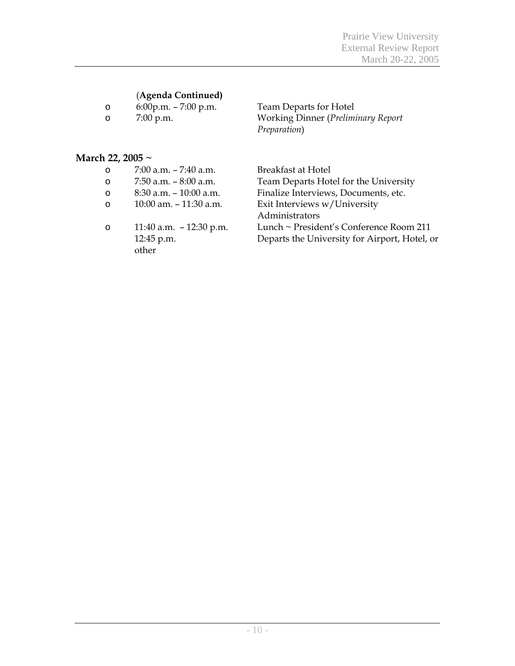# (**Agenda Continued)**

| $\circ$ | $6:00$ p.m. $- 7:00$ p.m |  |
|---------|--------------------------|--|
|         | $\overline{P}$ $\Omega$  |  |

6:00p.m. – 7:00 p.m. Team Departs for Hotel<br>7:00 p.m. Working Dinner (*Prelimi* o 7:00 p.m. Working Dinner (*Preliminary Report Preparation*)

### **March 22, 2005 ~**

| O       | $7:00$ a.m. $-7:40$ a.m.  | <b>Breakfast at Hotel</b>                     |
|---------|---------------------------|-----------------------------------------------|
| O       | 7:50 a.m. $-8:00$ a.m.    | Team Departs Hotel for the University         |
| O       | $8:30$ a.m. $-10:00$ a.m. | Finalize Interviews, Documents, etc.          |
| $\circ$ | 10:00 am. - 11:30 a.m.    | Exit Interviews w/University                  |
|         |                           | Administrators                                |
| O       | 11:40 a.m. $-12:30$ p.m.  | Lunch ~ President's Conference Room 211       |
|         | 12:45 p.m.                | Departs the University for Airport, Hotel, or |
|         | other                     |                                               |
|         |                           |                                               |